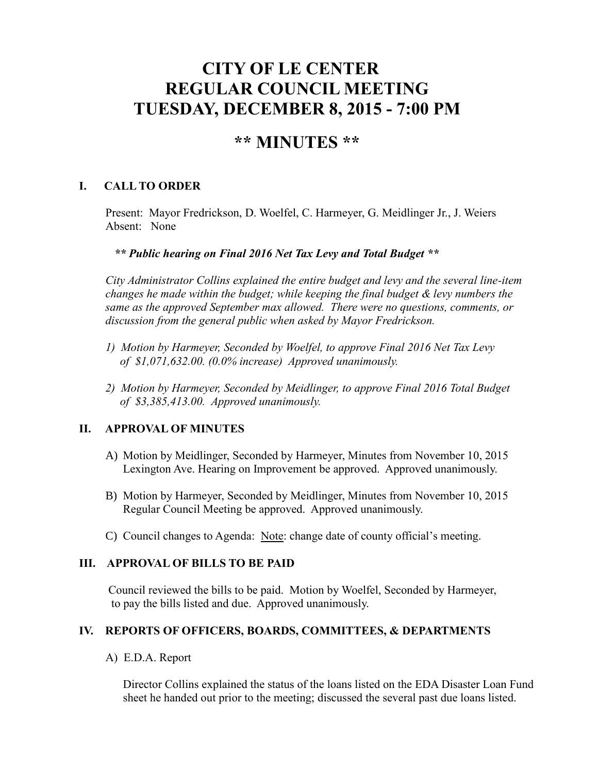# **CITY OF LE CENTER REGULAR COUNCIL MEETING TUESDAY, DECEMBER 8, 2015 - 7:00 PM**

# **\*\* MINUTES \*\***

## **I. CALL TO ORDER**

Present: Mayor Fredrickson, D. Woelfel, C. Harmeyer, G. Meidlinger Jr., J. Weiers Absent: None

#### *\*\* Public hearing on Final 2016 Net Tax Levy and Total Budget \*\**

*City Administrator Collins explained the entire budget and levy and the several line-item changes he made within the budget; while keeping the final budget & levy numbers the same as the approved September max allowed. There were no questions, comments, or discussion from the general public when asked by Mayor Fredrickson.*

- *1) Motion by Harmeyer, Seconded by Woelfel, to approve Final 2016 Net Tax Levy of \$1,071,632.00. (0.0% increase) Approved unanimously.*
- *2) Motion by Harmeyer, Seconded by Meidlinger, to approve Final 2016 Total Budget of \$3,385,413.00. Approved unanimously.*

### **II. APPROVAL OF MINUTES**

- A) Motion by Meidlinger, Seconded by Harmeyer, Minutes from November 10, 2015 Lexington Ave. Hearing on Improvement be approved. Approved unanimously.
- B) Motion by Harmeyer, Seconded by Meidlinger, Minutes from November 10, 2015 Regular Council Meeting be approved. Approved unanimously.
- C) Council changes to Agenda: Note: change date of county official's meeting.

#### **III. APPROVAL OF BILLS TO BE PAID**

Council reviewed the bills to be paid. Motion by Woelfel, Seconded by Harmeyer, to pay the bills listed and due. Approved unanimously.

#### **IV. REPORTS OF OFFICERS, BOARDS, COMMITTEES, & DEPARTMENTS**

A) E.D.A. Report

 Director Collins explained the status of the loans listed on the EDA Disaster Loan Fund sheet he handed out prior to the meeting; discussed the several past due loans listed.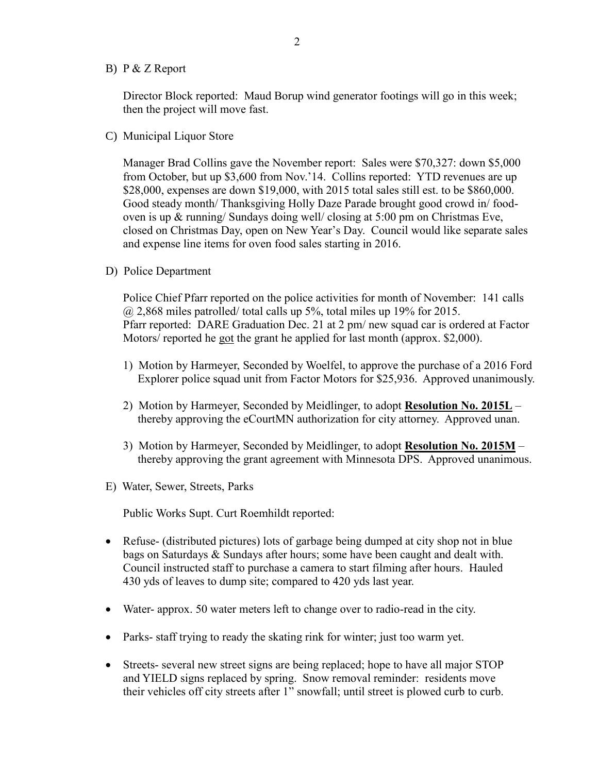B) P & Z Report

 Director Block reported: Maud Borup wind generator footings will go in this week; then the project will move fast.

C) Municipal Liquor Store

Manager Brad Collins gave the November report: Sales were \$70,327: down \$5,000 from October, but up \$3,600 from Nov.'14. Collins reported: YTD revenues are up \$28,000, expenses are down \$19,000, with 2015 total sales still est. to be \$860,000. Good steady month/ Thanksgiving Holly Daze Parade brought good crowd in/ foodoven is up & running/ Sundays doing well/ closing at 5:00 pm on Christmas Eve, closed on Christmas Day, open on New Year's Day. Council would like separate sales and expense line items for oven food sales starting in 2016.

D) Police Department

Police Chief Pfarr reported on the police activities for month of November: 141 calls  $\omega$  2,868 miles patrolled/ total calls up 5%, total miles up 19% for 2015. Pfarr reported: DARE Graduation Dec. 21 at 2 pm/ new squad car is ordered at Factor Motors/ reported he got the grant he applied for last month (approx. \$2,000).

- 1) Motion by Harmeyer, Seconded by Woelfel, to approve the purchase of a 2016 Ford Explorer police squad unit from Factor Motors for \$25,936. Approved unanimously.
- 2) Motion by Harmeyer, Seconded by Meidlinger, to adopt **Resolution No. 2015L** thereby approving the eCourtMN authorization for city attorney. Approved unan.
- 3) Motion by Harmeyer, Seconded by Meidlinger, to adopt **Resolution No. 2015M** thereby approving the grant agreement with Minnesota DPS. Approved unanimous.
- E) Water, Sewer, Streets, Parks

Public Works Supt. Curt Roemhildt reported:

- Refuse- (distributed pictures) lots of garbage being dumped at city shop not in blue bags on Saturdays & Sundays after hours; some have been caught and dealt with. Council instructed staff to purchase a camera to start filming after hours. Hauled 430 yds of leaves to dump site; compared to 420 yds last year.
- Water- approx. 50 water meters left to change over to radio-read in the city.
- Parks- staff trying to ready the skating rink for winter; just too warm yet.
- Streets- several new street signs are being replaced; hope to have all major STOP and YIELD signs replaced by spring. Snow removal reminder: residents move their vehicles off city streets after 1" snowfall; until street is plowed curb to curb.